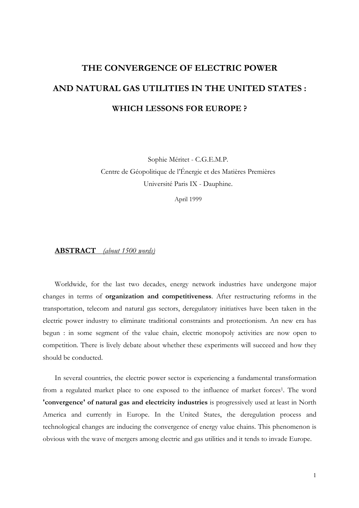# **THE CONVERGENCE OF ELECTRIC POWER AND NATURAL GAS UTILITIES IN THE UNITED STATES : WHICH LESSONS FOR EUROPE ?**

Sophie Méritet - C.G.E.M.P. Centre de Géopolitique de l'Énergie et des Matières Premières Université Paris IX - Dauphine.

April 1999

# **ABSTRACT** *(about 1500 words)*

Worldwide, for the last two decades, energy network industries have undergone major changes in terms of **organization and competitiveness**. After restructuring reforms in the transportation, telecom and natural gas sectors, deregulatory initiatives have been taken in the electric power industry to eliminate traditional constraints and protectionism. An new era has begun : in some segment of the value chain, electric monopoly activities are now open to competition. There is lively debate about whether these experiments will succeed and how they should be conducted.

In several countries, the electric power sector is experiencing a fundamental transformation from a regulated market place to one exposed to the influence of market forces<sup>1</sup>. The word **'convergence' of natural gas and electricity industries** is progressively used at least in North America and currently in Europe. In the United States, the deregulation process and technological changes are inducing the convergence of energy value chains. This phenomenon is obvious with the wave of mergers among electric and gas utilities and it tends to invade Europe.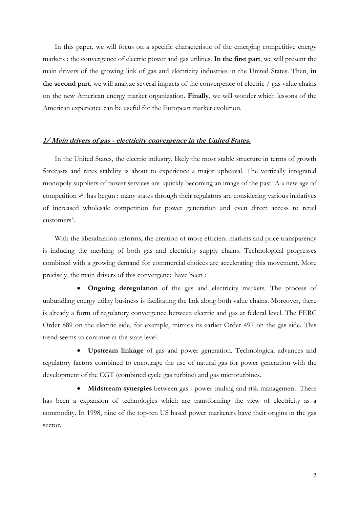In this paper, we will focus on a specific characteristic of the emerging competitive energy markets : the convergence of electric power and gas utilities. **In the first part**, we will present the main drivers of the growing link of gas and electricity industries in the United States. Then, **in the second part**, we will analyze several impacts of the convergence of electric / gas value chains on the new American energy market organization. **Finally**, we will wonder which lessons of the American experience can be useful for the European market evolution.

### **1/ Main drivers of gas - electricity convergence in the United States.**

In the United States, the electric industry, likely the most stable structure in terms of growth forecasts and rates stability is about to experience a major upheaval. The vertically integrated monopoly suppliers of power services are quickly becoming an image of the past. A « new age of competition »2. has begun : many states through their regulators are considering various initiatives of increased wholesale competition for power generation and even direct access to retail customers3.

With the liberalization reforms, the creation of more efficient markets and price transparency is inducing the meshing of both gas and electricity supply chains. Technological progresses combined with a growing demand for commercial choices are accelerating this movement. More precisely, the main drivers of this convergence have been :

• **Ongoing deregulation** of the gas and electricity markets. The process of unbundling energy utility business is facilitating the link along both value chains. Moreover, there is already a form of regulatory convergence between electric and gas at federal level. The FERC Order 889 on the electric side, for example, mirrors its earlier Order 497 on the gas side. This trend seems to continue at the state level.

• **Upstream linkage** of gas and power generation. Technological advances and regulatory factors combined to encourage the use of natural gas for power generation with the development of the CGT (combined cycle gas turbine) and gas microturbines.

• **Midstream synergies** between gas - power trading and risk management. There has been a expansion of technologies which are transforming the view of electricity as a commodity. In 1998, nine of the top-ten US based power marketers have their origins in the gas sector.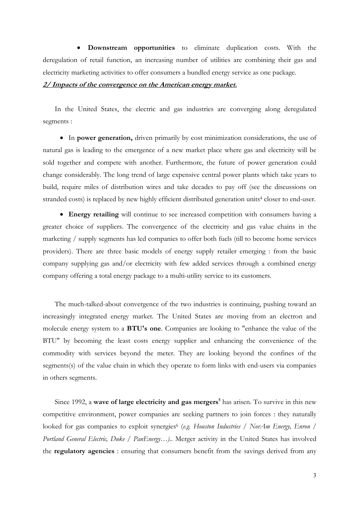• **Downstream opportunities** to eliminate duplication costs. With the deregulation of retail function, an increasing number of utilities are combining their gas and electricity marketing activities to offer consumers a bundled energy service as one package.

## **2/ Impacts of the convergence on the American energy market.**

In the United States, the electric and gas industries are converging along deregulated segments :

• In **power generation,** driven primarily by cost minimization considerations, the use of natural gas is leading to the emergence of a new market place where gas and electricity will be sold together and compete with another. Furthermore, the future of power generation could change considerably. The long trend of large expensive central power plants which take years to build, require miles of distribution wires and take decades to pay off (see the discussions on stranded costs) is replaced by new highly efficient distributed generation units<sup>4</sup> closer to end-user.

• **Energy retailing** will continue to see increased competition with consumers having a greater choice of suppliers. The convergence of the electricity and gas value chains in the marketing / supply segments has led companies to offer both fuels (till to become home services providers). There are three basic models of energy supply retailer emerging : from the basic company supplying gas and/or electricity with few added services through a combined energy company offering a total energy package to a multi-utility service to its customers.

The much-talked-about convergence of the two industries is continuing, pushing toward an increasingly integrated energy market. The United States are moving from an electron and molecule energy system to a **BTU's one**. Companies are looking to "enhance the value of the BTU" by becoming the least costs energy supplier and enhancing the convenience of the commodity with services beyond the meter. They are looking beyond the confines of the segments(s) of the value chain in which they operate to form links with end-users via companies in others segments.

Since 1992, a wave of large electricity and gas mergers<sup>5</sup> has arisen. To survive in this new competitive environment, power companies are seeking partners to join forces : they naturally looked for gas companies to exploit synergies<sup>6</sup> (*e.g. Houston Industries / NorAm Energy, Enron / Portland General Electric, Duke / PanEnergy…).*. Merger activity in the United States has involved the **regulatory agencies** : ensuring that consumers benefit from the savings derived from any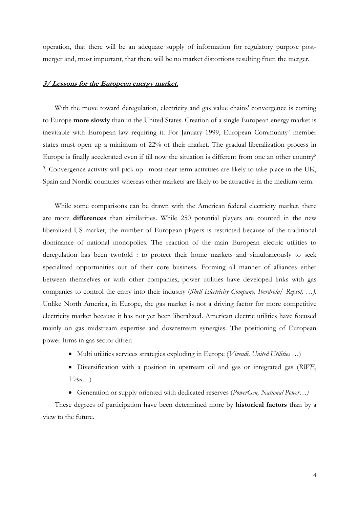operation, that there will be an adequate supply of information for regulatory purpose postmerger and, most important, that there will be no market distortions resulting from the merger.

### **3/ Lessons for the European energy market.**

With the move toward deregulation, electricity and gas value chains' convergence is coming to Europe **more slowly** than in the United States. Creation of a single European energy market is inevitable with European law requiring it. For January 1999, European Community<sup>7</sup> member states must open up a minimum of 22% of their market. The gradual liberalization process in Europe is finally accelerated even if till now the situation is different from one an other country8 9. Convergence activity will pick up : most near-term activities are likely to take place in the UK, Spain and Nordic countries whereas other markets are likely to be attractive in the medium term.

While some comparisons can be drawn with the American federal electricity market, there are more **differences** than similarities. While 250 potential players are counted in the new liberalized US market, the number of European players is restricted because of the traditional dominance of national monopolies. The reaction of the main European electric utilities to deregulation has been twofold : to protect their home markets and simultaneously to seek specialized opportunities out of their core business. Forming all manner of alliances either between themselves or with other companies, power utilities have developed links with gas companies to control the entry into their industry (*Shell Electricity Company, Iberdrola/ Repsol, …).* Unlike North America, in Europe, the gas market is not a driving factor for more competitive electricity market because it has not yet been liberalized. American electric utilities have focused mainly on gas midstream expertise and downstream synergies. The positioning of European power firms in gas sector differ:

- Multi utilities services strategies exploding in Europe (*Vivendi, United Utilities* …)
- Diversification with a position in upstream oil and gas or integrated gas (*RWE*, *Veba*…)
- Generation or supply oriented with dedicated reserves (*PowerGen, National Power…)*

These degrees of participation have been determined more by **historical factors** than by a view to the future.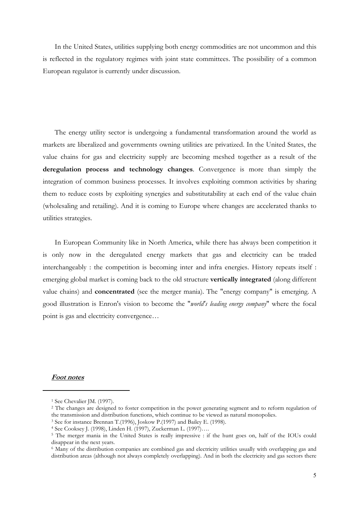In the United States, utilities supplying both energy commodities are not uncommon and this is reflected in the regulatory regimes with joint state committees. The possibility of a common European regulator is currently under discussion.

The energy utility sector is undergoing a fundamental transformation around the world as markets are liberalized and governments owning utilities are privatized. In the United States, the value chains for gas and electricity supply are becoming meshed together as a result of the **deregulation process and technology changes**. Convergence is more than simply the integration of common business processes. It involves exploiting common activities by sharing them to reduce costs by exploiting synergies and substitutability at each end of the value chain (wholesaling and retailing). And it is coming to Europe where changes are accelerated thanks to utilities strategies.

In European Community like in North America, while there has always been competition it is only now in the deregulated energy markets that gas and electricity can be traded interchangeably : the competition is becoming inter and infra energies. History repeats itself : emerging global market is coming back to the old structure **vertically integrated** (along different value chains) and **concentrated** (see the merger mania). The "energy company" is emerging. A good illustration is Enron's vision to become the "*world's leading energy company*" where the focal point is gas and electricity convergence…

#### **Foot notes**

 $\overline{a}$ 

<sup>1</sup> See Chevalier JM. (1997).

<sup>&</sup>lt;sup>2</sup> The changes are designed to foster competition in the power generating segment and to reform regulation of the transmission and distribution functions, which continue to be viewed as natural monopolies. 3 See for instance Brennan T.(1996), Joskow P.(1997) and Bailey E. (1998).

<sup>4</sup> See Cooksey J. (1998), Linden H. (1997), Zuckerman L. (1997)….

<sup>5</sup> The merger mania in the United States is really impressive : if the hunt goes on, half of the IOUs could disappear in the next years.

<sup>6</sup> Many of the distribution companies are combined gas and electricity utilities usually with overlapping gas and distribution areas (although not always completely overlapping). And in both the electricity and gas sectors there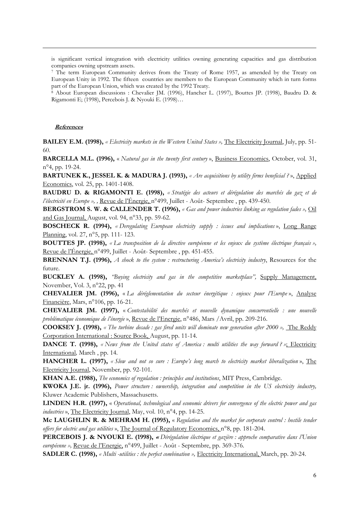is significant vertical integration with electricity utilities owning generating capacities and gas distribution companies owning upstream assets.

7 The term European Community derives from the Treaty of Rome 1957, as amended by the Treaty on European Unity in 1992. The fifteen countries are members to the European Community which in turn forms part of the European Union, which was created by the 1992 Treaty.

8 About European discussions : Chevalier JM. (1996), Hancher L. (1997), Bouttes JP. (1998), Baudru D. & Rigamonti E; (1998), Percebois J. & Nyouki E. (1998)…

#### **References**

 $\overline{a}$ 

**BAILEY E.M. (1998),** *« Electricity markets in the Western United States »,* The Electricity Journal, July, pp. 51- 60.

**BARCELLA M.L. (1996),** « *Natural gas in the twenty first century* », Business Economics, October, vol. 31, n°4, pp. 19-24.

**BARTUNEK K., JESSEL K. & MADURA J. (1993),** *« Are acquisitions by utility firms beneficial ?* », Applied Economics, vol. 25, pp. 1401-1408.

**BAUDRU D. & RIGAMONTI E. (1998),** *« Stratégie des acteurs et dérégulation des marchés du gaz et de l'électricité en Europe », ,* Revue de l'Énergie, n°499, Juillet - Août- Septembre , pp. 439-450.

**BERGSTROM S. W. & CALLENDER T. (1996),** *« Gas and power industries linking as regulation fades »*, *Oil* and Gas Journal, August, vol. 94, n°33, pp. 59-62.

**BOSCHECK R. (1994),** *« Deregulating European electricity supply : issues and implications* », Long Range Planning, vol. 27, n°5, pp. 111- 123.

**BOUTTES JP. (1998),** *« La transposition de la directive européenne et les enjeux du système électrique français »,*  Revue de l'Énergie, n°499, Juillet - Août- Septembre , pp. 451-455.

**BRENNAN T.J. (1996),** *A shock to the system : restructuring America's electricity industry*, Resources for the future.

**BUCKLEY A. (1998),** *"Buying electricity and gas in the competitive marketplace",* Supply Management, November, Vol. 3, n°22, pp. 41

**CHEVALIER JM. (1996),** « *La déréglementation du secteur énergétique : enjeux pour l'Europe* », Analyse Financière, Mars, n°106, pp. 16-21.

**CHEVALIER JM. (1997),** « *Contestabilité des marchés et nouvelle dynamique concurrentielle : une nouvelle problématique économique de l'énergie* », Revue de l'Energie, n°486, Mars /Avril, pp. 209-216.

**COOKSEY J. (1998),** *« The turbine decade : gas fired units will dominate new generation after 2000 »,* The Reddy Corporation International : Source Book, August, pp. 11-14.

**DANCE T. (1998),** *« News from the United states of America : multi utilities the way forward ? »*; Electricity International*,* March , pp. 14.

**HANCHER L. (1997),** *« Slow and not so sure : Europe's long march to electricity market liberalization* », The Electricity Journal, November, pp. 92-101.

**KHAN A.E. (1988),** *The economics of regulation : principles and institutions*, MIT Press, Cambridge.

**KWOKA J.E. jr. (1996),** *Power structure : ownership, integration and competition in the US electricity industry,* Kluwer Academic Publishers, Massachusetts.

**LINDEN H.R. (1997),** « *Operational, technological and economic drivers for convergence of the electric power and gas industries* », The Electricity Journal, May, vol. 10, n°4, pp. 14-25.

**Mc LAUGHLIN R. & MEHRAM H. (1995),** « *Regulation and the market for corporate control : hostile tender offers for electric and gas utilities* », The Journal of Regulatory Economics, n°8, pp. 181-204.

**PERCEBOIS J. & NYOUKI E. (1998), «** *Dérégulation électrique et gazière : approche comparative dans l'Union européenne »,* Revue de l'Energie, n°499, Juillet - Août - Septembre, pp. 369-376.

**SADLER C. (1998),** *« Multi -utilities : the perfect combination »,* Electricity International, March, pp. 20-24.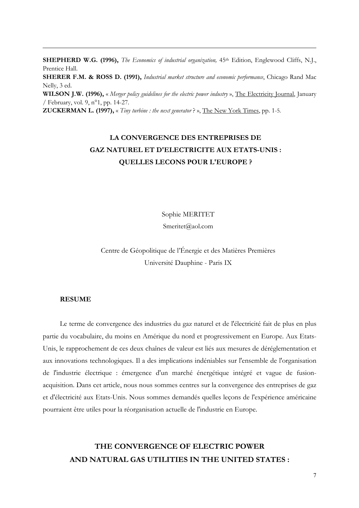**SHEPHERD W.G. (1996),** *The Economics of industrial organization*, 45<sup>th</sup> Edition, Englewood Cliffs, N.J., Prentice Hall.

**SHERER F.M. & ROSS D. (1991),** *Industrial market structure and economic performance*, Chicago Rand Mac Nelly, 3 ed.

**WILSON J.W. (1996),** « *Merger policy guidelines for the electric power industry* », The Electricity Journal, January / February, vol. 9, n°1, pp. 14-27.

**ZUCKERMAN L. (1997),** « *Tiny turbine : the next generator* ? », The New York Times, pp. 1-5.

# **LA CONVERGENCE DES ENTREPRISES DE GAZ NATUREL ET D'ELECTRICITE AUX ETATS-UNIS : QUELLES LECONS POUR L'EUROPE ?**

Sophie MERITET

Smeritet@aol.com

Centre de Géopolitique de l'Énergie et des Matières Premières Université Dauphine - Paris IX

#### **RESUME**

 $\overline{a}$ 

Le terme de convergence des industries du gaz naturel et de l'électricité fait de plus en plus partie du vocabulaire, du moins en Amérique du nord et progressivement en Europe. Aux Etats-Unis, le rapprochement de ces deux chaînes de valeur est liés aux mesures de déréglementation et aux innovations technologiques. Il a des implications indéniables sur l'ensemble de l'organisation de l'industrie électrique : émergence d'un marché énergétique intégré et vague de fusionacquisition. Dans cet article, nous nous sommes centres sur la convergence des entreprises de gaz et d'électricité aux Etats-Unis. Nous sommes demandés quelles leçons de l'expérience américaine pourraient être utiles pour la réorganisation actuelle de l'industrie en Europe.

# **THE CONVERGENCE OF ELECTRIC POWER AND NATURAL GAS UTILITIES IN THE UNITED STATES :**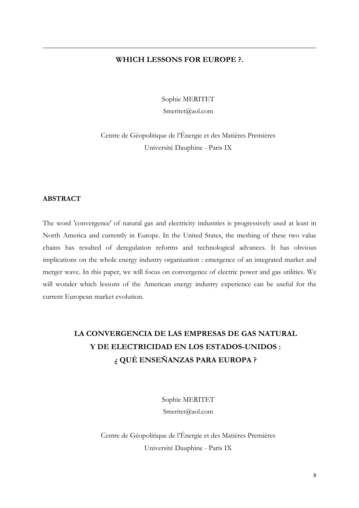# **WHICH LESSONS FOR EUROPE ?.**

Sophie MERITET

Smeritet@aol.com

Centre de Géopolitique de l'Énergie et des Matières Premières Université Dauphine - Paris IX

### **ABSTRACT**

 $\overline{a}$ 

The word 'convergence' of natural gas and electricity industries is progressively used at least in North America and currently in Europe. In the United States, the meshing of these two value chains has resulted of deregulation reforms and technological advances. It has obvious implications on the whole energy industry organization : emergence of an integrated market and merger wave. In this paper, we will focus on convergence of electric power and gas utilities. We will wonder which lessons of the American energy industry experience can be useful for the current European market evolution.

# **LA CONVERGENCIA DE LAS EMPRESAS DE GAS NATURAL Y DE ELECTRICIDAD EN LOS ESTADOS-UNIDOS : ¿ QUÉ ENSEÑANZAS PARA EUROPA ?**

Sophie MERITET Smeritet@aol.com

Centre de Géopolitique de l'Énergie et des Matières Premières Université Dauphine - Paris IX